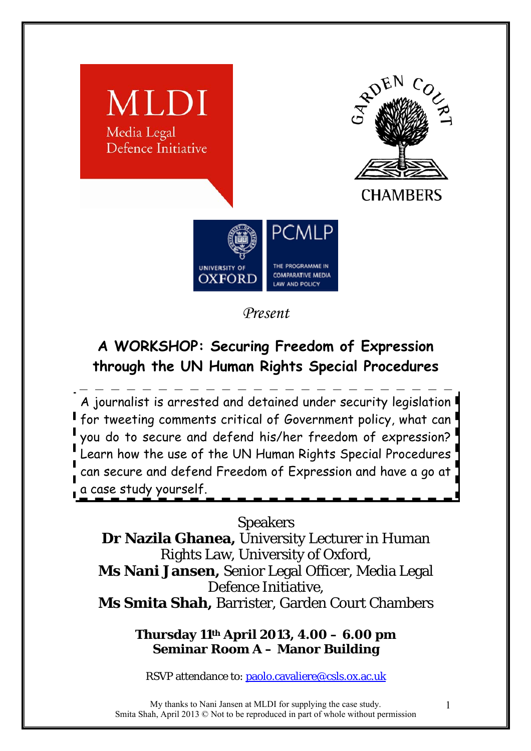

*Present* 

# **A WORKSHOP: Securing Freedom of Expression through the UN Human Rights Special Procedures**

A journalist is arrested and detained under security legislation for tweeting comments critical of Government policy, what can you do to secure and defend his/her freedom of expression? Learn how the use of the UN Human Rights Special Procedures can secure and defend Freedom of Expression and have a go at a case study yourself.

# Speakers

**Dr Nazila Ghanea,** University Lecturer in Human Rights Law, University of Oxford, **Ms Nani Jansen,** Senior Legal Officer, Media Legal Defence Initiative, **Ms Smita Shah,** Barrister, Garden Court Chambers

> **Thursday 11th April 2013, 4.00 – 6.00 pm Seminar Room A – Manor Building**

RSVP attendance to: paolo.cavaliere@csls.ox.ac.uk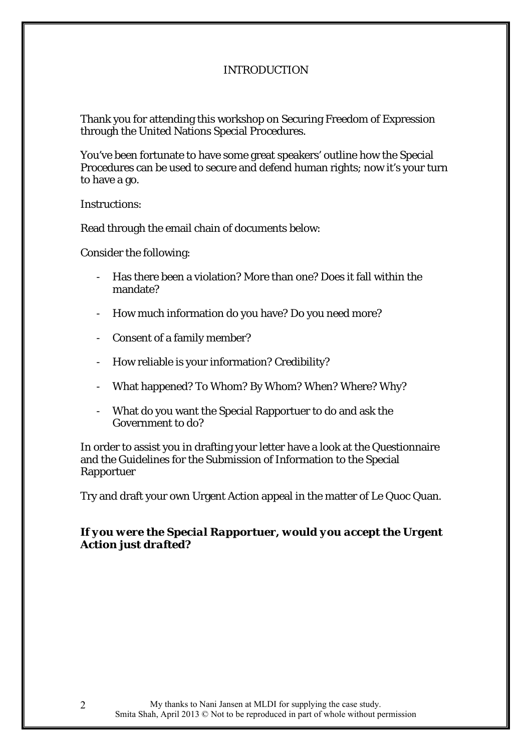# INTRODUCTION

Thank you for attending this workshop on Securing Freedom of Expression through the United Nations Special Procedures.

You've been fortunate to have some great speakers' outline how the Special Procedures can be used to secure and defend human rights; now it's your turn to have a go.

Instructions:

Read through the email chain of documents below:

Consider the following:

- Has there been a violation? More than one? Does it fall within the mandate?
- How much information do you have? Do you need more?
- Consent of a family member?
- How reliable is your information? Credibility?
- What happened? To Whom? By Whom? When? Where? Why?
- What do you want the Special Rapportuer to do and ask the Government to do?

In order to assist you in drafting your letter have a look at the Questionnaire and the Guidelines for the Submission of Information to the Special Rapportuer

Try and draft your own Urgent Action appeal in the matter of Le Quoc Quan.

# *If you were the Special Rapportuer, would you accept the Urgent Action just drafted?*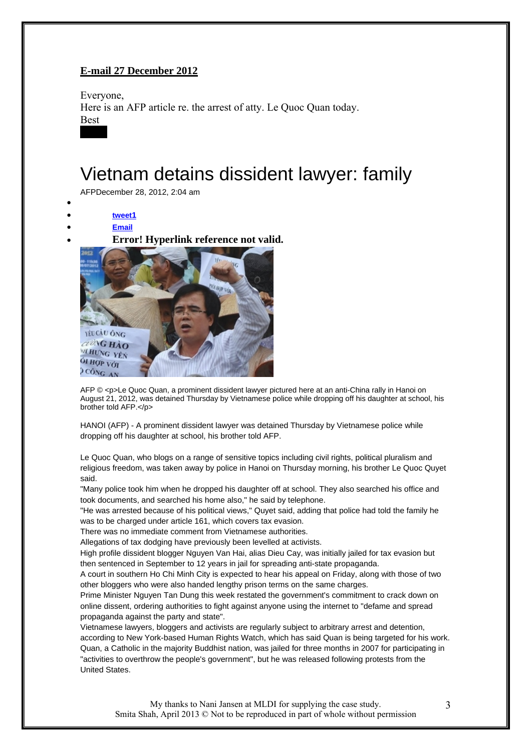# **E-mail 27 December 2012**

Everyone, Here is an AFP article re. the arrest of atty. Le Quoc Quan today. Best  $x \cdot x$ 

# Vietnam detains dissident lawyer: family

AFPDecember 28, 2012, 2:04 am

- •
- **tweet1** • **Email**
- 





AFP © <p>Le Quoc Quan, a prominent dissident lawyer pictured here at an anti-China rally in Hanoi on August 21, 2012, was detained Thursday by Vietnamese police while dropping off his daughter at school, his brother told AFP.</p>

HANOI (AFP) - A prominent dissident lawyer was detained Thursday by Vietnamese police while dropping off his daughter at school, his brother told AFP.

Le Quoc Quan, who blogs on a range of sensitive topics including civil rights, political pluralism and religious freedom, was taken away by police in Hanoi on Thursday morning, his brother Le Quoc Quyet said.

"Many police took him when he dropped his daughter off at school. They also searched his office and took documents, and searched his home also," he said by telephone.

"He was arrested because of his political views," Quyet said, adding that police had told the family he was to be charged under article 161, which covers tax evasion.

There was no immediate comment from Vietnamese authorities.

Allegations of tax dodging have previously been levelled at activists.

High profile dissident blogger Nguyen Van Hai, alias Dieu Cay, was initially jailed for tax evasion but then sentenced in September to 12 years in jail for spreading anti-state propaganda.

A court in southern Ho Chi Minh City is expected to hear his appeal on Friday, along with those of two other bloggers who were also handed lengthy prison terms on the same charges.

Prime Minister Nguyen Tan Dung this week restated the government's commitment to crack down on online dissent, ordering authorities to fight against anyone using the internet to "defame and spread propaganda against the party and state".

Vietnamese lawyers, bloggers and activists are regularly subject to arbitrary arrest and detention, according to New York-based Human Rights Watch, which has said Quan is being targeted for his work. Quan, a Catholic in the majority Buddhist nation, was jailed for three months in 2007 for participating in "activities to overthrow the people's government", but he was released following protests from the United States.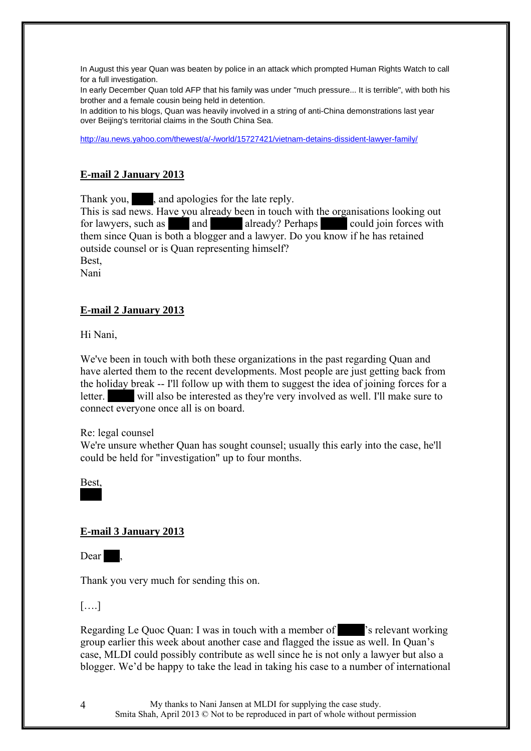In August this year Quan was beaten by police in an attack which prompted Human Rights Watch to call for a full investigation.

In early December Quan told AFP that his family was under "much pressure... It is terrible", with both his brother and a female cousin being held in detention.

In addition to his blogs, Quan was heavily involved in a string of anti-China demonstrations last year over Beijing's territorial claims in the South China Sea.

http://au.news.yahoo.com/thewest/a/-/world/15727421/vietnam-detains-dissident-lawyer-family/

# **E-mail 2 January 2013**

Thank you, and apologies for the late reply.

This is sad news. Have you already been in touch with the organisations looking out for lawyers, such as  $x = 0$  and  $x = 0$  already? Perhaps  $x = 0$  could join forces with them since Quan is both a blogger and a lawyer. Do you know if he has retained outside counsel or is Quan representing himself? **Best** 

Nani

# **E-mail 2 January 2013**

Hi Nani,

We've been in touch with both these organizations in the past regarding Quan and have alerted them to the recent developments. Most people are just getting back from the holiday break -- I'll follow up with them to suggest the idea of joining forces for a letter. will also be interested as they're very involved as well. I'll make sure to connect everyone once all is on board.

Re: legal counsel

We're unsure whether Quan has sought counsel; usually this early into the case, he'll could be held for "investigation" up to four months.

Best,  $x \in \mathbb{R}^n$ 

# **E-mail 3 January 2013**

Dear .

Thank you very much for sending this on.

[….]

Regarding Le Quoc Quan: I was in touch with a member of  $\sim$  's relevant working group earlier this week about another case and flagged the issue as well. In Quan's case, MLDI could possibly contribute as well since he is not only a lawyer but also a blogger. We'd be happy to take the lead in taking his case to a number of international

My thanks to Nani Jansen at MLDI for supplying the case study. Smita Shah, April 2013 © Not to be reproduced in part of whole without permission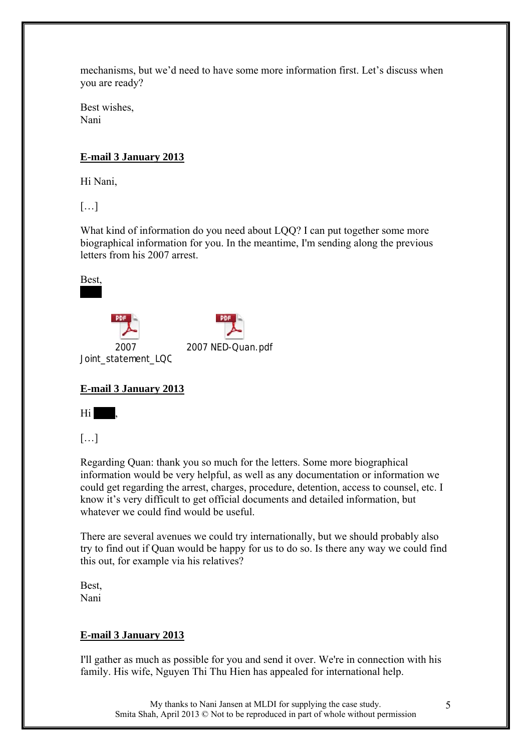mechanisms, but we'd need to have some more information first. Let's discuss when you are ready?

Best wishes, Nani

# **E-mail 3 January 2013**

Hi Nani,

[…]

What kind of information do you need about LOO? I can put together some more biographical information for you. In the meantime, I'm sending along the previous letters from his 2007 arrest.

2007 NED-Quan.pdf





Joint\_statement\_LQQ 

# **E-mail 3 January 2013**



[…]

Regarding Quan: thank you so much for the letters. Some more biographical information would be very helpful, as well as any documentation or information we could get regarding the arrest, charges, procedure, detention, access to counsel, etc. I know it's very difficult to get official documents and detailed information, but whatever we could find would be useful.

There are several avenues we could try internationally, but we should probably also try to find out if Quan would be happy for us to do so. Is there any way we could find this out, for example via his relatives?

Best, Nani

# **E-mail 3 January 2013**

I'll gather as much as possible for you and send it over. We're in connection with his family. His wife, Nguyen Thi Thu Hien has appealed for international help.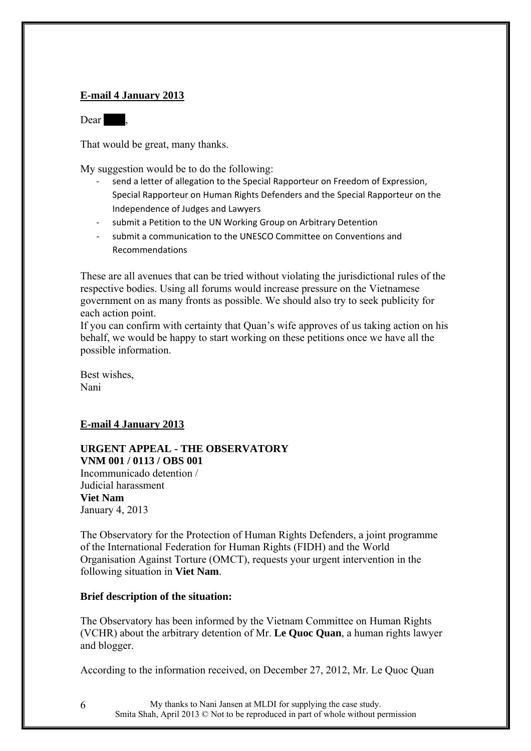# **E-mail 4 January 2013**

Dear .

That would be great, many thanks.

My suggestion would be to do the following:

- send a letter of allegation to the Special Rapporteur on Freedom of Expression, Special Rapporteur on Human Rights Defenders and the Special Rapporteur on the Independence of Judges and Lawyers
- submit a Petition to the UN Working Group on Arbitrary Detention
- submit a communication to the UNESCO Committee on Conventions and Recommendations

These are all avenues that can be tried without violating the jurisdictional rules of the respective bodies. Using all forums would increase pressure on the Vietnamese government on as many fronts as possible. We should also try to seek publicity for each action point.

If you can confirm with certainty that Quan's wife approves of us taking action on his behalf, we would be happy to start working on these petitions once we have all the possible information.

Best wishes, Nani

# **E-mail 4 January 2013**

#### **URGENT APPEAL - THE OBSERVATORY VNM 001 / 0113 / OBS 001**

Incommunicado detention / Judicial harassment **Viet Nam** January 4, 2013

The Observatory for the Protection of Human Rights Defenders, a joint programme of the International Federation for Human Rights (FIDH) and the World Organisation Against Torture (OMCT), requests your urgent intervention in the following situation in **Viet Nam**.

# **Brief description of the situation:**

The Observatory has been informed by the Vietnam Committee on Human Rights (VCHR) about the arbitrary detention of Mr. **Le Quoc Quan**, a human rights lawyer and blogger.

According to the information received, on December 27, 2012, Mr. Le Quoc Quan

My thanks to Nani Jansen at MLDI for supplying the case study. Smita Shah, April 2013 © Not to be reproduced in part of whole without permission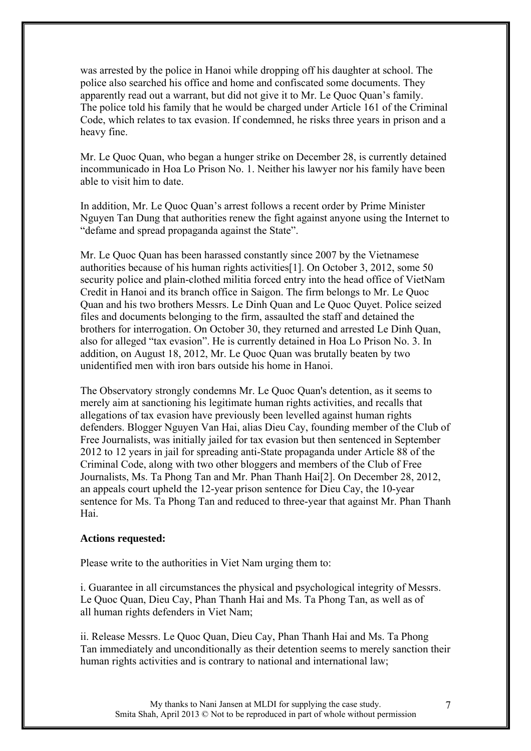was arrested by the police in Hanoi while dropping off his daughter at school. The police also searched his office and home and confiscated some documents. They apparently read out a warrant, but did not give it to Mr. Le Quoc Quan's family. The police told his family that he would be charged under Article 161 of the Criminal Code, which relates to tax evasion. If condemned, he risks three years in prison and a heavy fine.

Mr. Le Quoc Quan, who began a hunger strike on December 28, is currently detained incommunicado in Hoa Lo Prison No. 1. Neither his lawyer nor his family have been able to visit him to date.

In addition, Mr. Le Quoc Quan's arrest follows a recent order by Prime Minister Nguyen Tan Dung that authorities renew the fight against anyone using the Internet to "defame and spread propaganda against the State".

Mr. Le Quoc Quan has been harassed constantly since 2007 by the Vietnamese authorities because of his human rights activities[1]. On October 3, 2012, some 50 security police and plain-clothed militia forced entry into the head office of VietNam Credit in Hanoi and its branch office in Saigon. The firm belongs to Mr. Le Quoc Quan and his two brothers Messrs. Le Dinh Quan and Le Quoc Quyet. Police seized files and documents belonging to the firm, assaulted the staff and detained the brothers for interrogation. On October 30, they returned and arrested Le Dinh Quan, also for alleged "tax evasion". He is currently detained in Hoa Lo Prison No. 3. In addition, on August 18, 2012, Mr. Le Quoc Quan was brutally beaten by two unidentified men with iron bars outside his home in Hanoi.

The Observatory strongly condemns Mr. Le Quoc Quan's detention, as it seems to merely aim at sanctioning his legitimate human rights activities, and recalls that allegations of tax evasion have previously been levelled against human rights defenders. Blogger Nguyen Van Hai, alias Dieu Cay, founding member of the Club of Free Journalists, was initially jailed for tax evasion but then sentenced in September 2012 to 12 years in jail for spreading anti-State propaganda under Article 88 of the Criminal Code, along with two other bloggers and members of the Club of Free Journalists, Ms. Ta Phong Tan and Mr. Phan Thanh Hai[2]. On December 28, 2012, an appeals court upheld the 12-year prison sentence for Dieu Cay, the 10-year sentence for Ms. Ta Phong Tan and reduced to three-year that against Mr. Phan Thanh Hai.

#### **Actions requested:**

Please write to the authorities in Viet Nam urging them to:

i. Guarantee in all circumstances the physical and psychological integrity of Messrs. Le Quoc Quan, Dieu Cay, Phan Thanh Hai and Ms. Ta Phong Tan, as well as of all human rights defenders in Viet Nam;

ii. Release Messrs. Le Quoc Quan, Dieu Cay, Phan Thanh Hai and Ms. Ta Phong Tan immediately and unconditionally as their detention seems to merely sanction their human rights activities and is contrary to national and international law;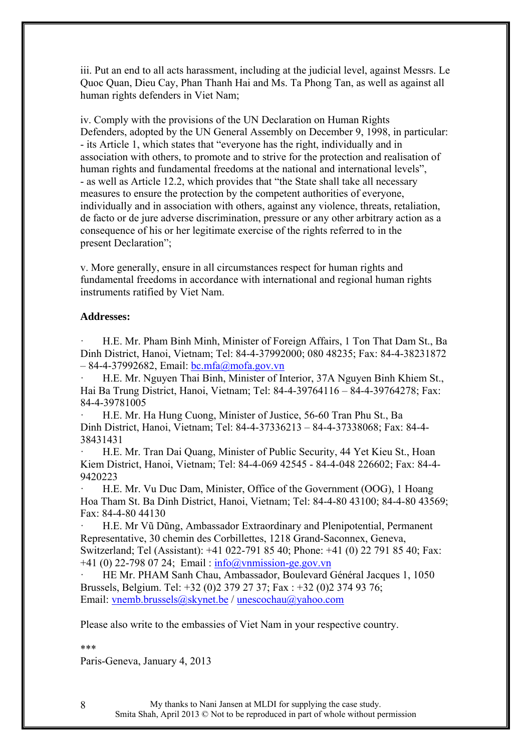iii. Put an end to all acts harassment, including at the judicial level, against Messrs. Le Quoc Quan, Dieu Cay, Phan Thanh Hai and Ms. Ta Phong Tan, as well as against all human rights defenders in Viet Nam;

iv. Comply with the provisions of the UN Declaration on Human Rights Defenders, adopted by the UN General Assembly on December 9, 1998, in particular: - its Article 1, which states that "everyone has the right, individually and in association with others, to promote and to strive for the protection and realisation of human rights and fundamental freedoms at the national and international levels", - as well as Article 12.2, which provides that "the State shall take all necessary measures to ensure the protection by the competent authorities of everyone, individually and in association with others, against any violence, threats, retaliation, de facto or de jure adverse discrimination, pressure or any other arbitrary action as a consequence of his or her legitimate exercise of the rights referred to in the present Declaration";

v. More generally, ensure in all circumstances respect for human rights and fundamental freedoms in accordance with international and regional human rights instruments ratified by Viet Nam.

#### **Addresses:**

H.E. Mr. Pham Binh Minh, Minister of Foreign Affairs, 1 Ton That Dam St., Ba Dinh District, Hanoi, Vietnam; Tel: 84-4-37992000; 080 48235; Fax: 84-4-38231872  $-84-4-37992682$ , Email:  $bc.mfa@mofa.gov.vn$ 

· H.E. Mr. Nguyen Thai Binh, Minister of Interior, 37A Nguyen Binh Khiem St., Hai Ba Trung District, Hanoi, Vietnam; Tel: 84-4-39764116 – 84-4-39764278; Fax: 84-4-39781005

· H.E. Mr. Ha Hung Cuong, Minister of Justice, 56-60 Tran Phu St., Ba Dinh District, Hanoi, Vietnam; Tel: 84-4-37336213 – 84-4-37338068; Fax: 84-4- 38431431

· H.E. Mr. Tran Dai Quang, Minister of Public Security, 44 Yet Kieu St., Hoan Kiem District, Hanoi, Vietnam; Tel: 84-4-069 42545 - 84-4-048 226602; Fax: 84-4- 9420223

H.E. Mr. Vu Duc Dam, Minister, Office of the Government (OOG), 1 Hoang Hoa Tham St. Ba Dinh District, Hanoi, Vietnam; Tel: 84-4-80 43100; 84-4-80 43569; Fax: 84-4-80 44130

· H.E. Mr Vũ Dũng, Ambassador Extraordinary and Plenipotential, Permanent Representative, 30 chemin des Corbillettes, 1218 Grand-Saconnex, Geneva, Switzerland; Tel (Assistant): +41 022-791 85 40; Phone: +41 (0) 22 791 85 40; Fax:  $+41$  (0) 22-798 07 24; Email:  $info@vnmission-ge.gov.vn$ 

· HE Mr. PHAM Sanh Chau, Ambassador, Boulevard Général Jacques 1, 1050 Brussels, Belgium. Tel: +32 (0)2 379 27 37; Fax : +32 (0)2 374 93 76; Email: vnemb.brussels@skynet.be / unescochau@yahoo.com

Please also write to the embassies of Viet Nam in your respective country.

#### \*\*\*

Paris-Geneva, January 4, 2013

My thanks to Nani Jansen at MLDI for supplying the case study. Smita Shah, April 2013 © Not to be reproduced in part of whole without permission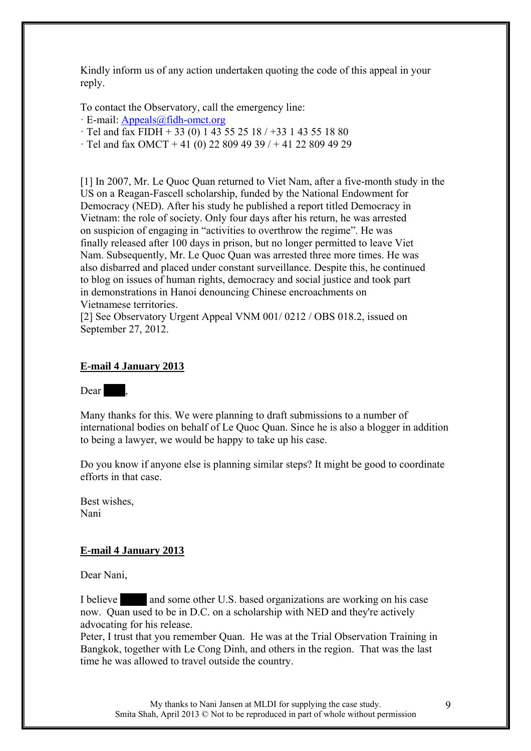Kindly inform us of any action undertaken quoting the code of this appeal in your reply.

To contact the Observatory, call the emergency line:

· E-mail: Appeals@fidh-omct.org

 $\cdot$  Tel and fax FIDH + 33 (0) 1 43 55 25 18 / +33 1 43 55 18 80

 $\cdot$  Tel and fax OMCT + 41 (0) 22 809 49 39 / + 41 22 809 49 29

[1] In 2007, Mr. Le Quoc Quan returned to Viet Nam, after a five-month study in the US on a Reagan-Fascell scholarship, funded by the National Endowment for Democracy (NED). After his study he published a report titled Democracy in Vietnam: the role of society. Only four days after his return, he was arrested on suspicion of engaging in "activities to overthrow the regime". He was finally released after 100 days in prison, but no longer permitted to leave Viet Nam. Subsequently, Mr. Le Quoc Quan was arrested three more times. He was also disbarred and placed under constant surveillance. Despite this, he continued to blog on issues of human rights, democracy and social justice and took part in demonstrations in Hanoi denouncing Chinese encroachments on Vietnamese territories.

[2] See Observatory Urgent Appeal VNM 001/ 0212 / OBS 018.2, issued on September 27, 2012.

# **E-mail 4 January 2013**

# Dear .

Many thanks for this. We were planning to draft submissions to a number of international bodies on behalf of Le Quoc Quan. Since he is also a blogger in addition to being a lawyer, we would be happy to take up his case.

Do you know if anyone else is planning similar steps? It might be good to coordinate efforts in that case.

Best wishes, Nani

# **E-mail 4 January 2013**

Dear Nani,

I believe and some other U.S. based organizations are working on his case now. Quan used to be in D.C. on a scholarship with NED and they're actively advocating for his release.

Peter, I trust that you remember Quan. He was at the Trial Observation Training in Bangkok, together with Le Cong Dinh, and others in the region. That was the last time he was allowed to travel outside the country.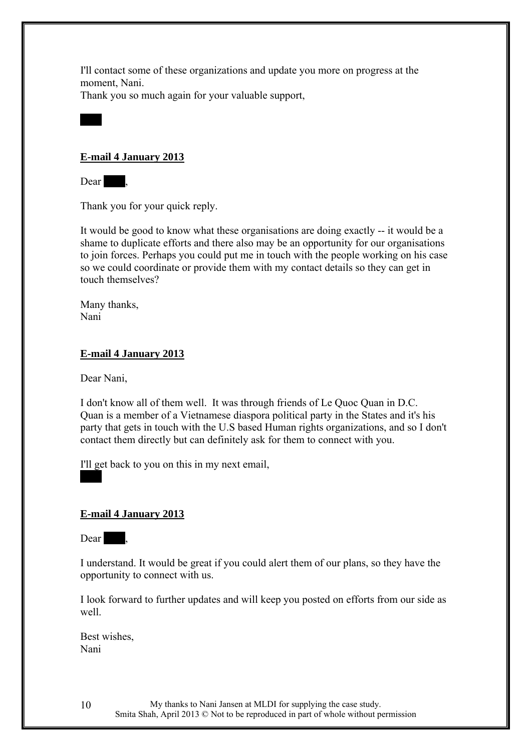I'll contact some of these organizations and update you more on progress at the moment, Nani.

Thank you so much again for your valuable support,

# **E-mail 4 January 2013**

Dear .

 $x \in \mathbb{R}^n$ 

Thank you for your quick reply.

It would be good to know what these organisations are doing exactly -- it would be a shame to duplicate efforts and there also may be an opportunity for our organisations to join forces. Perhaps you could put me in touch with the people working on his case so we could coordinate or provide them with my contact details so they can get in touch themselves?

Many thanks, Nani

# **E-mail 4 January 2013**

Dear Nani,

I don't know all of them well. It was through friends of Le Quoc Quan in D.C. Quan is a member of a Vietnamese diaspora political party in the States and it's his party that gets in touch with the U.S based Human rights organizations, and so I don't contact them directly but can definitely ask for them to connect with you.

I'll get back to you on this in my next email,

# **E-mail 4 January 2013**

Dear .

 $x \in \mathbb{R}^n$ 

I understand. It would be great if you could alert them of our plans, so they have the opportunity to connect with us.

I look forward to further updates and will keep you posted on efforts from our side as well.

Best wishes, Nani

> My thanks to Nani Jansen at MLDI for supplying the case study. Smita Shah, April 2013 © Not to be reproduced in part of whole without permission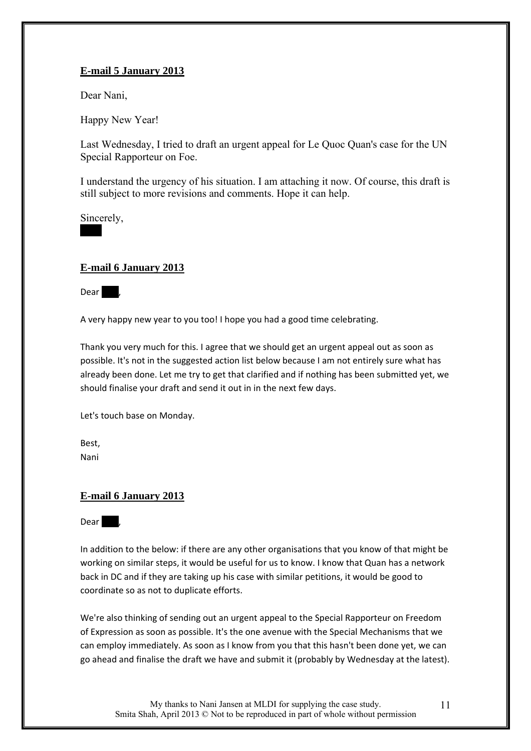# **E-mail 5 January 2013**

Dear Nani,

Happy New Year!

Last Wednesday, I tried to draft an urgent appeal for Le Quoc Quan's case for the UN Special Rapporteur on Foe.

I understand the urgency of his situation. I am attaching it now. Of course, this draft is still subject to more revisions and comments. Hope it can help.

Sincerely,

 $x \in \mathbb{R}^n$ 

# **E-mail 6 January 2013**

 $Dear$ ,

A very happy new year to you too! I hope you had a good time celebrating.

Thank you very much for this. I agree that we should get an urgent appeal out as soon as possible. It's not in the suggested action list below because I am not entirely sure what has already been done. Let me try to get that clarified and if nothing has been submitted yet, we should finalise your draft and send it out in in the next few days.

Let's touch base on Monday.

Best, Nani

# **E-mail 6 January 2013**

Dear ,

In addition to the below: if there are any other organisations that you know of that might be working on similar steps, it would be useful for us to know. I know that Quan has a network back in DC and if they are taking up his case with similar petitions, it would be good to coordinate so as not to duplicate efforts.

We're also thinking of sending out an urgent appeal to the Special Rapporteur on Freedom of Expression as soon as possible. It's the one avenue with the Special Mechanisms that we can employ immediately. As soon as I know from you that this hasn't been done yet, we can go ahead and finalise the draft we have and submit it (probably by Wednesday at the latest).

My thanks to Nani Jansen at MLDI for supplying the case study. Smita Shah, April 2013 © Not to be reproduced in part of whole without permission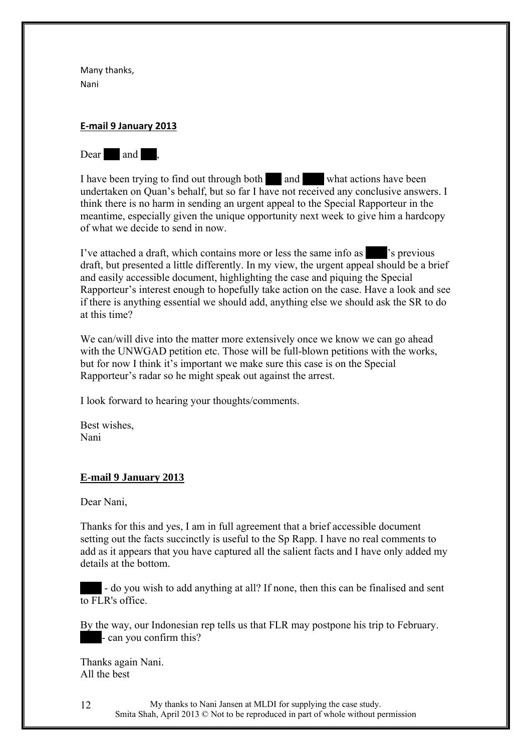Many thanks, Nani

#### **E-mail 9 January 2013**



I have been trying to find out through both and what actions have been undertaken on Quan's behalf, but so far I have not received any conclusive answers. I think there is no harm in sending an urgent appeal to the Special Rapporteur in the meantime, especially given the unique opportunity next week to give him a hardcopy of what we decide to send in now.

I've attached a draft, which contains more or less the same info as  $\sim$  's previous draft, but presented a little differently. In my view, the urgent appeal should be a brief and easily accessible document, highlighting the case and piquing the Special Rapporteur's interest enough to hopefully take action on the case. Have a look and see if there is anything essential we should add, anything else we should ask the SR to do at this time?

We can/will dive into the matter more extensively once we know we can go ahead with the UNWGAD petition etc. Those will be full-blown petitions with the works, but for now I think it's important we make sure this case is on the Special Rapporteur's radar so he might speak out against the arrest.

I look forward to hearing your thoughts/comments.

Best wishes, Nani

#### **E-mail 9 January 2013**

Dear Nani,

Thanks for this and yes, I am in full agreement that a brief accessible document setting out the facts succinctly is useful to the Sp Rapp. I have no real comments to add as it appears that you have captured all the salient facts and I have only added my details at the bottom.

- do you wish to add anything at all? If none, then this can be finalised and sent to FLR's office.

By the way, our Indonesian rep tells us that FLR may postpone his trip to February. - can you confirm this?

Thanks again Nani. All the best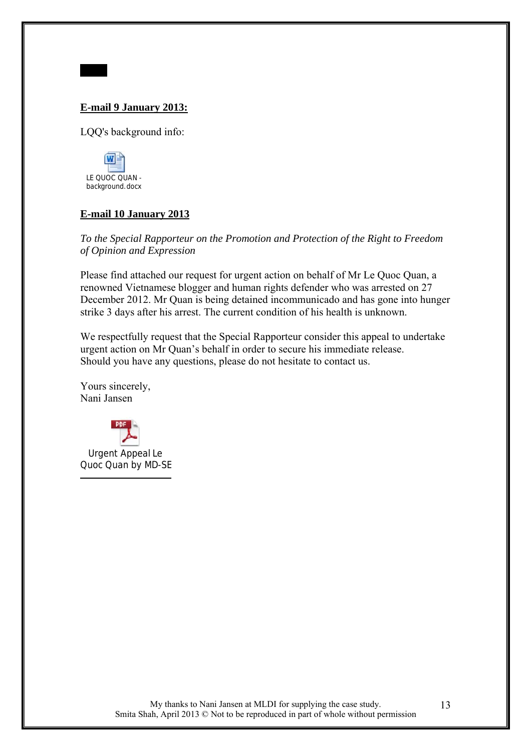# **E-mail 9 January 2013:**

LQQ's background info:



 $x \cdot x$ 

# **E-mail 10 January 2013**

*To the Special Rapporteur on the Promotion and Protection of the Right to Freedom of Opinion and Expression* 

Please find attached our request for urgent action on behalf of Mr Le Quoc Quan, a renowned Vietnamese blogger and human rights defender who was arrested on 27 December 2012. Mr Quan is being detained incommunicado and has gone into hunger strike 3 days after his arrest. The current condition of his health is unknown.

We respectfully request that the Special Rapporteur consider this appeal to undertake urgent action on Mr Quan's behalf in order to secure his immediate release. Should you have any questions, please do not hesitate to contact us.

Yours sincerely, Nani Jansen

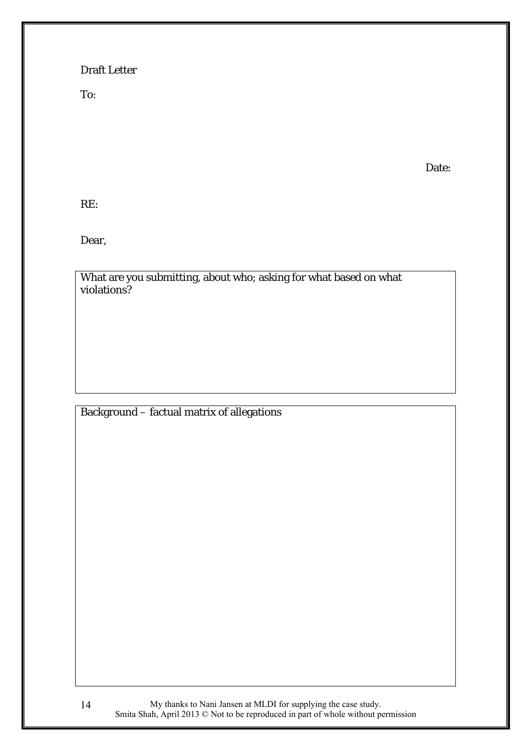# Draft Letter

To:

Date:

RE:

Dear,

What are you submitting, about who; asking for what based on what violations?

# Background – factual matrix of allegations